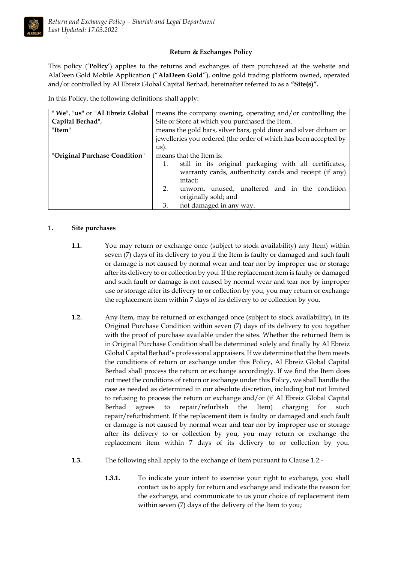

## **Return & Exchanges Policy**

This policy ('**Policy**') applies to the returns and exchanges of item purchased at the website and AlaDeen Gold Mobile Application ("**AlaDeen Gold**"), online gold trading platform owned, operated and/or controlled by Al Ebreiz Global Capital Berhad, hereinafter referred to as a **"Site(s)".**

In this Policy, the following definitions shall apply:

| " We", "us" or "Al Ebreiz Global | means the company owning, operating and/or controlling the        |
|----------------------------------|-------------------------------------------------------------------|
| Capital Berhad",                 | Site or Store at which you purchased the Item.                    |
| "Item"                           | means the gold bars, silver bars, gold dinar and silver dirham or |
|                                  | jewelleries you ordered (the order of which has been accepted by  |
|                                  | us).                                                              |
| "Original Purchase Condition"    | means that the Item is:                                           |
|                                  | still in its original packaging with all certificates,<br>1.      |
|                                  | warranty cards, authenticity cards and receipt (if any)           |
|                                  | intact;                                                           |
|                                  | unworn, unused, unaltered and in the condition<br>2.              |
|                                  | originally sold; and                                              |
|                                  | not damaged in any way.<br>3.                                     |

## **1. Site purchases**

- **1.1.** You may return or exchange once (subject to stock availability) any Item) within seven (7) days of its delivery to you if the Item is faulty or damaged and such fault or damage is not caused by normal wear and tear nor by improper use or storage after its delivery to or collection by you. If the replacement item is faulty or damaged and such fault or damage is not caused by normal wear and tear nor by improper use or storage after its delivery to or collection by you, you may return or exchange the replacement item within 7 days of its delivery to or collection by you.
- **1.2.** Any Item, may be returned or exchanged once (subject to stock availability), in its Original Purchase Condition within seven (7) days of its delivery to you together with the proof of purchase available under the sites. Whether the returned Item is in Original Purchase Condition shall be determined solely and finally by Al Ebreiz Global Capital Berhad's professional appraisers. If we determine that the Item meets the conditions of return or exchange under this Policy, Al Ebreiz Global Capital Berhad shall process the return or exchange accordingly. If we find the Item does not meet the conditions of return or exchange under this Policy, we shall handle the case as needed as determined in our absolute discretion, including but not limited to refusing to process the return or exchange and/or (if Al Ebreiz Global Capital Berhad agrees to repair/refurbish the Item) charging for such repair/refurbishment. If the replacement item is faulty or damaged and such fault or damage is not caused by normal wear and tear nor by improper use or storage after its delivery to or collection by you, you may return or exchange the replacement item within 7 days of its delivery to or collection by you.
- **1.3.** The following shall apply to the exchange of Item pursuant to Clause 1.2:-
	- **1.3.1.** To indicate your intent to exercise your right to exchange, you shall contact us to apply for return and exchange and indicate the reason for the exchange, and communicate to us your choice of replacement item within seven (7) days of the delivery of the Item to you;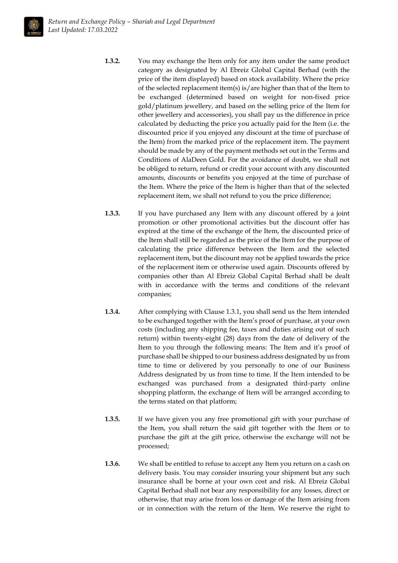

- **1.3.2.** You may exchange the Item only for any item under the same product category as designated by Al Ebreiz Global Capital Berhad (with the price of the item displayed) based on stock availability. Where the price of the selected replacement item(s) is/are higher than that of the Item to be exchanged (determined based on weight for non-fixed price gold/platinum jewellery, and based on the selling price of the Item for other jewellery and accessories), you shall pay us the difference in price calculated by deducting the price you actually paid for the Item (i.e. the discounted price if you enjoyed any discount at the time of purchase of the Item) from the marked price of the replacement item. The payment should be made by any of the payment methods set out in the Terms and Conditions of AlaDeen Gold. For the avoidance of doubt, we shall not be obliged to return, refund or credit your account with any discounted amounts, discounts or benefits you enjoyed at the time of purchase of the Item. Where the price of the Item is higher than that of the selected replacement item, we shall not refund to you the price difference;
- **1.3.3.** If you have purchased any Item with any discount offered by a joint promotion or other promotional activities but the discount offer has expired at the time of the exchange of the Item, the discounted price of the Item shall still be regarded as the price of the Item for the purpose of calculating the price difference between the Item and the selected replacement item, but the discount may not be applied towards the price of the replacement item or otherwise used again. Discounts offered by companies other than Al Ebreiz Global Capital Berhad shall be dealt with in accordance with the terms and conditions of the relevant companies;
- **1.3.4.** After complying with Clause 1.3.1, you shall send us the Item intended to be exchanged together with the Item's proof of purchase, at your own costs (including any shipping fee, taxes and duties arising out of such return) within twenty-eight (28) days from the date of delivery of the Item to you through the following means: The Item and it's proof of purchase shall be shipped to our business address designated by us from time to time or delivered by you personally to one of our Business Address designated by us from time to time. If the Item intended to be exchanged was purchased from a designated third-party online shopping platform, the exchange of Item will be arranged according to the terms stated on that platform;
- **1.3.5.** If we have given you any free promotional gift with your purchase of the Item, you shall return the said gift together with the Item or to purchase the gift at the gift price, otherwise the exchange will not be processed;
- **1.3.6.** We shall be entitled to refuse to accept any Item you return on a cash on delivery basis. You may consider insuring your shipment but any such insurance shall be borne at your own cost and risk. Al Ebreiz Global Capital Berhad shall not bear any responsibility for any losses, direct or otherwise, that may arise from loss or damage of the Item arising from or in connection with the return of the Item. We reserve the right to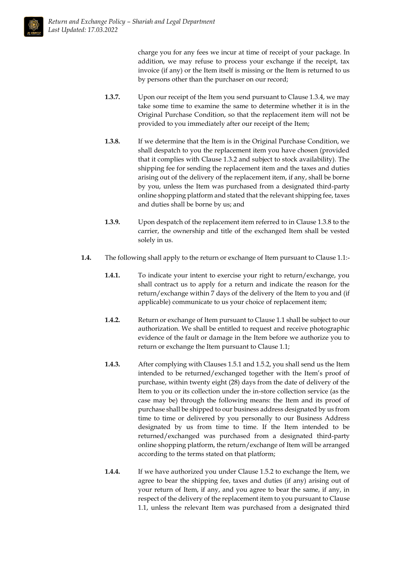

charge you for any fees we incur at time of receipt of your package. In addition, we may refuse to process your exchange if the receipt, tax invoice (if any) or the Item itself is missing or the Item is returned to us by persons other than the purchaser on our record;

- **1.3.7.** Upon our receipt of the Item you send pursuant to Clause 1.3.4, we may take some time to examine the same to determine whether it is in the Original Purchase Condition, so that the replacement item will not be provided to you immediately after our receipt of the Item;
- **1.3.8.** If we determine that the Item is in the Original Purchase Condition, we shall despatch to you the replacement item you have chosen (provided that it complies with Clause 1.3.2 and subject to stock availability). The shipping fee for sending the replacement item and the taxes and duties arising out of the delivery of the replacement item, if any, shall be borne by you, unless the Item was purchased from a designated third-party online shopping platform and stated that the relevant shipping fee, taxes and duties shall be borne by us; and
- **1.3.9.** Upon despatch of the replacement item referred to in Clause 1.3.8 to the carrier, the ownership and title of the exchanged Item shall be vested solely in us.
- **1.4.** The following shall apply to the return or exchange of Item pursuant to Clause 1.1:-
	- **1.4.1.** To indicate your intent to exercise your right to return/exchange, you shall contract us to apply for a return and indicate the reason for the return/exchange within 7 days of the delivery of the Item to you and (if applicable) communicate to us your choice of replacement item;
	- **1.4.2.** Return or exchange of Item pursuant to Clause 1.1 shall be subject to our authorization. We shall be entitled to request and receive photographic evidence of the fault or damage in the Item before we authorize you to return or exchange the Item pursuant to Clause 1.1;
	- **1.4.3.** After complying with Clauses 1.5.1 and 1.5.2, you shall send us the Item intended to be returned/exchanged together with the Item's proof of purchase, within twenty eight (28) days from the date of delivery of the Item to you or its collection under the in-store collection service (as the case may be) through the following means: the Item and its proof of purchase shall be shipped to our business address designated by us from time to time or delivered by you personally to our Business Address designated by us from time to time. If the Item intended to be returned/exchanged was purchased from a designated third-party online shopping platform, the return/exchange of Item will be arranged according to the terms stated on that platform;
	- **1.4.4.** If we have authorized you under Clause 1.5.2 to exchange the Item, we agree to bear the shipping fee, taxes and duties (if any) arising out of your return of Item, if any, and you agree to bear the same, if any, in respect of the delivery of the replacement item to you pursuant to Clause 1.1, unless the relevant Item was purchased from a designated third